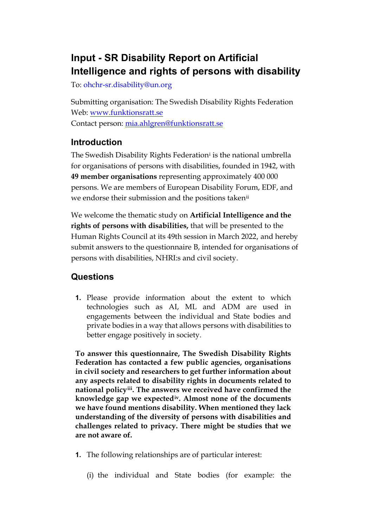# **Input - SR Disability Report on Artificial Intelligence and rights of persons with disability**

To: ohchr-sr.disability@un.org

Submitting organisation: The Swedish Disability Rights Federation Web: [www.funktionsratt.se](http://www.funktionsratt.se/) Contact person: [mia.ahlgren@funktionsratt.se](mailto:mia.ahlgren@funktionsratt.se)

### **Introduction**

The Swed[i](#page-5-0)sh Disability Rights Federation<sup>i</sup> is the national umbrella for organisations of persons with disabilities, founded in 1942, with **49 member organisations** representing approximately 400 000 persons. We are members of European Disability Forum, EDF, and we endorse their submission and the positions taken[ii](#page-5-1)

We welcome the thematic study on **Artificial Intelligence and the rights of persons with disabilities,** that will be presented to the Human Rights Council at its 49th session in March 2022, and hereby submit answers to the questionnaire B, intended for organisations of persons with disabilities, NHRI:s and civil society.

## **Questions**

**1.** Please provide information about the extent to which technologies such as AI, ML and ADM are used in engagements between the individual and State bodies and private bodies in a way that allows persons with disabilities to better engage positively in society.

**To answer this questionnaire, The Swedish Disability Rights Federation has contacted a few public agencies, organisations in civil society and researchers to get further information about any aspects related to disability rights in documents related to national policy[iii](#page-5-2). The answers we received have confirmed the knowledge gap we expected[iv](#page-5-3). Almost none of the documents we have found mentions disability. When mentioned they lack understanding of the diversity of persons with disabilities and challenges related to privacy. There might be studies that we are not aware of.** 

- **1.** The following relationships are of particular interest:
	- (i) the individual and State bodies (for example: the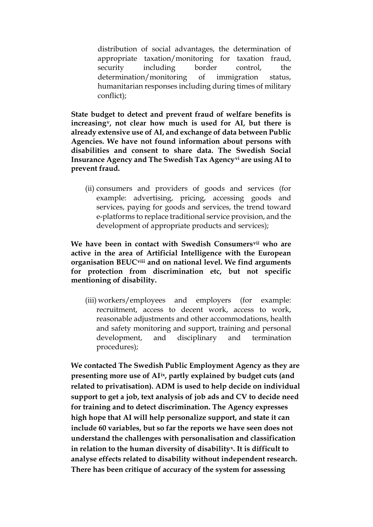distribution of social advantages, the determination of appropriate taxation/monitoring for taxation fraud, security including border control, the determination/monitoring of immigration status, humanitarian responses including during times of military conflict);

**State budget to detect and prevent fraud of welfare benefits is increasing[v,](#page-5-4) not clear how much is used for AI, but there is already extensive use of AI, and exchange of data between Public Agencies. We have not found information about persons with disabilities and consent to share data. The Swedish Social Insurance Agency and The Swedish Tax Agency[vi](#page-5-5) are using AI to prevent fraud.**

(ii) consumers and providers of goods and services (for example: advertising, pricing, accessing goods and services, paying for goods and services, the trend toward e-platforms to replace traditional service provision, and the development of appropriate products and services);

**We have been in contact with Swedish Consumers[vii](#page-5-6) who are active in the area of Artificial Intelligence with the European organisation BEUC[viii](#page-5-7) and on national level. We find arguments for protection from discrimination etc, but not specific mentioning of disability.**

(iii) workers/employees and employers (for example: recruitment, access to decent work, access to work, reasonable adjustments and other accommodations, health and safety monitoring and support, training and personal development, and disciplinary and termination procedures);

**We contacted The Swedish Public Employment Agency as they are presenting more use of AI[ix](#page-5-8), partly explained by budget cuts (and related to privatisation). ADM is used to help decide on individual support to get a job, text analysis of job ads and CV to decide need for training and to detect discrimination. The Agency expresses high hope that AI will help personalize support, and state it can include 60 variables, but so far the reports we have seen does not understand the challenges with personalisation and classification in relation to the human diversity of disability[x](#page-6-0). It is difficult to analyse effects related to disability without independent research. There has been critique of accuracy of the system for assessing**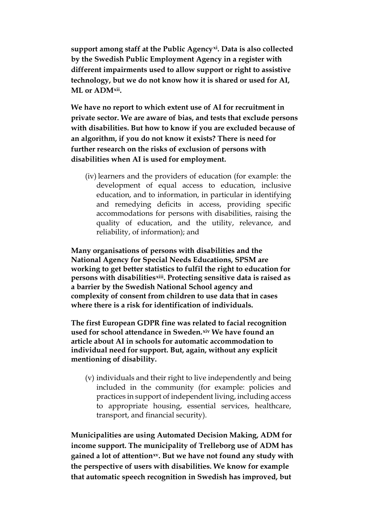**support among staff at the Public Agency[xi](#page-6-1). Data is also collected by the Swedish Public Employment Agency in a register with different impairments used to allow support or right to assistive technology, but we do not know how it is shared or used for AI, ML or ADM[xii](#page-6-2).** 

**We have no report to which extent use of AI for recruitment in private sector. We are aware of bias, and tests that exclude persons with disabilities. But how to know if you are excluded because of an algorithm, if you do not know it exists? There is need for further research on the risks of exclusion of persons with disabilities when AI is used for employment.**

(iv) learners and the providers of education (for example: the development of equal access to education, inclusive education, and to information, in particular in identifying and remedying deficits in access, providing specific accommodations for persons with disabilities, raising the quality of education, and the utility, relevance, and reliability, of information); and

**Many organisations of persons with disabilities and the National Agency for Special Needs Educations, SPSM are working to get better statistics to fulfil the right to education for persons with disabilities[xiii](#page-6-3). Protecting sensitive data is raised as a barrier by the Swedish National School agency and complexity of consent from children to use data that in cases where there is a risk for identification of individuals.** 

**The first European GDPR fine was related to facial recognition used for school attendance in Sweden.[xiv](#page-6-4) We have found an article about AI in schools for automatic accommodation to individual need for support. But, again, without any explicit mentioning of disability.**

(v) individuals and their right to live independently and being included in the community (for example: policies and practices in support of independent living, including access to appropriate housing, essential services, healthcare, transport, and financial security).

**Municipalities are using Automated Decision Making, ADM for income support. The municipality of Trelleborg use of ADM has gained a lot of attention[xv](#page-6-5). But we have not found any study with the perspective of users with disabilities. We know for example that automatic speech recognition in Swedish has improved, but**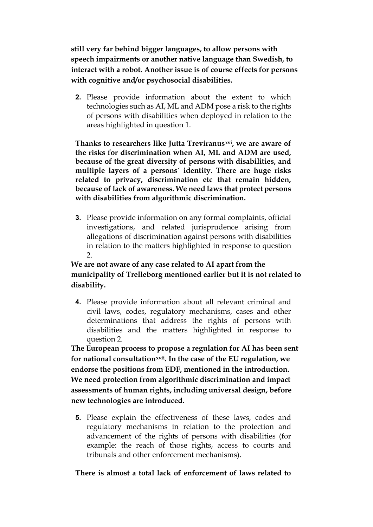**still very far behind bigger languages, to allow persons with speech impairments or another native language than Swedish, to interact with a robot. Another issue is of course effects for persons with cognitive and/or psychosocial disabilities.**

**2.** Please provide information about the extent to which technologies such as AI, ML and ADM pose a risk to the rights of persons with disabilities when deployed in relation to the areas highlighted in question 1.

**Thanks to researchers like Jutta Treviranus[xvi,](#page-6-6) we are aware of the risks for discrimination when AI, ML and ADM are used, because of the great diversity of persons with disabilities, and multiple layers of a persons´ identity. There are huge risks related to privacy, discrimination etc that remain hidden, because of lack of awareness. We need laws that protect persons with disabilities from algorithmic discrimination.**

**3.** Please provide information on any formal complaints, official investigations, and related jurisprudence arising from allegations of discrimination against persons with disabilities in relation to the matters highlighted in response to question  $\mathcal{P}$ 

#### **We are not aware of any case related to AI apart from the municipality of Trelleborg mentioned earlier but it is not related to disability.**

**4.** Please provide information about all relevant criminal and civil laws, codes, regulatory mechanisms, cases and other determinations that address the rights of persons with disabilities and the matters highlighted in response to question 2.

**The European process to propose a regulation for AI has been sent for national consultation[xvii](#page-6-7). In the case of the EU regulation, we endorse the positions from EDF, mentioned in the introduction. We need protection from algorithmic discrimination and impact assessments of human rights, including universal design, before new technologies are introduced.**

**5.** Please explain the effectiveness of these laws, codes and regulatory mechanisms in relation to the protection and advancement of the rights of persons with disabilities (for example: the reach of those rights, access to courts and tribunals and other enforcement mechanisms).

#### **There is almost a total lack of enforcement of laws related to**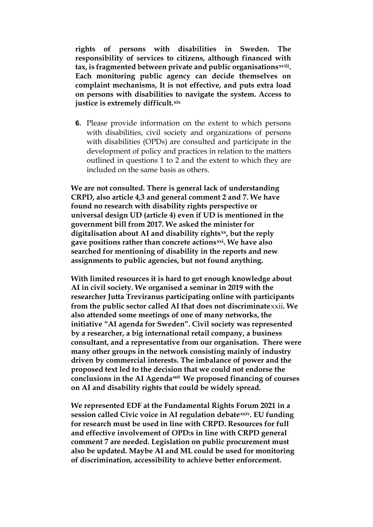**rights of persons with disabilities in Sweden. The responsibility of services to citizens, although financed with tax, is fragmented between private and public organisationsxviii[.](#page-6-8)  Each monitoring public agency can decide themselves on complaint mechanisms, It is not effective, and puts extra load on persons with disabilities to navigate the system. Access to justice is extremely difficult.[xix](#page-6-9)**

**6.** Please provide information on the extent to which persons with disabilities, civil society and organizations of persons with disabilities (OPDs) are consulted and participate in the development of policy and practices in relation to the matters outlined in questions 1 to 2 and the extent to which they are included on the same basis as others.

**We are not consulted. There is general lack of understanding CRPD, also article 4,3 and general comment 2 and 7. We have found no research with disability rights perspective or universal design UD (article 4) even if UD is mentioned in the government bill from 2017. We asked the minister for digitalisation about AI and disability rights[xx](#page-6-10), but the reply gave positions rather than concrete actions[xxi](#page-6-11). We have also searched for mentioning of disability in the reports and new assignments to public agencies, but not found anything.**

**With limited resources it is hard to get enough knowledge about AI in civil society. We organised a seminar in 2019 with the researcher Jutta Treviranus participating online with participants from the public sector called AI that does not discriminate**[xxii](#page-6-12)**. We also attended some meetings of one of many networks, the initiative "AI agenda for Sweden". Civil society was represented by a researcher, a big international retail company, a business consultant, and a representative from our organisation. There were many other groups in the network consisting mainly of industry driven by commercial interests. The imbalance of power and the proposed text led to the decision that we could not endorse the conclusions in the AI Agendaxxii[i](#page-6-13) We proposed financing of courses on AI and disability rights that could be widely spread.**

**We represented EDF at the Fundamental Rights Forum 2021 in a session called Civic voice in AI regulation debate[xxiv.](#page-6-14) EU funding for research must be used in line with CRPD. Resources for full and effective involvement of OPD:s in line with CRPD general comment 7 are needed. Legislation on public procurement must also be updated. Maybe AI and ML could be used for monitoring of discrimination, accessibility to achieve better enforcement.**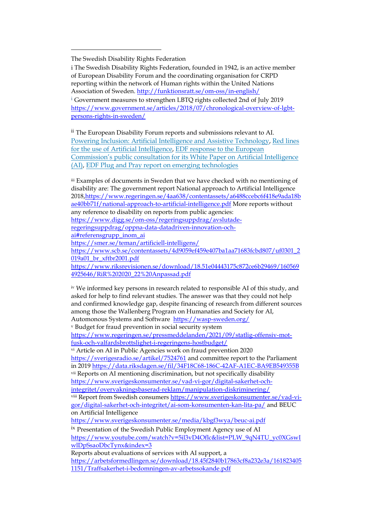<span id="page-5-0"></span>The Swedish Disability Rights Federation

i The Swedish Disability Rights Federation, founded in 1942, is an active member of European Disability Forum and the coordinating organisation for CRPD reporting within the network of Human rights within the United Nations Association of Sweden. <http://funktionsratt.se/om-oss/in-english/>

i Government measures to strengthen LBTQ rights collected 2nd of July 2019 [https://www.government.se/articles/2018/07/chronological-overview-of-lgbt](https://www.government.se/articles/2018/07/chronological-overview-of-lgbt-persons-rights-in-sweden/)[persons-rights-in-sweden/](https://www.government.se/articles/2018/07/chronological-overview-of-lgbt-persons-rights-in-sweden/)

<span id="page-5-1"></span>ii The European Disability Forum reports and submissions relevant to AI. [Powering Inclusion: Artificial Intelligence and Assistive Technology,](https://edf-feph.us9.list-manage.com/track/click?u=865a5bbea1086c57a41cc876d&id=31d8c4dc3a&e=6f319a5dc5) [Red lines](https://edf-feph.us9.list-manage.com/track/click?u=865a5bbea1086c57a41cc876d&id=fa4bb81bf7&e=6f319a5dc5)  [for the use of Artificial Intelligence,](https://edf-feph.us9.list-manage.com/track/click?u=865a5bbea1086c57a41cc876d&id=fa4bb81bf7&e=6f319a5dc5) EDF response [to the European](https://edf-feph.us9.list-manage.com/track/click?u=865a5bbea1086c57a41cc876d&id=0f72b2b3fa&e=6f319a5dc5)  Commission's public consultation for its [White Paper on Artificial Intelligence](https://edf-feph.us9.list-manage.com/track/click?u=865a5bbea1086c57a41cc876d&id=0f72b2b3fa&e=6f319a5dc5)  [\(AI\),](https://edf-feph.us9.list-manage.com/track/click?u=865a5bbea1086c57a41cc876d&id=0f72b2b3fa&e=6f319a5dc5) [EDF Plug and Pray report on emerging technologies](https://edf-feph.us9.list-manage.com/track/click?u=865a5bbea1086c57a41cc876d&id=9927c6feb5&e=6f319a5dc5)

<span id="page-5-2"></span>iii Examples of documents in Sweden that we have checked with no mentioning of disability are: The government report National approach to Artificial Intelligence 2018[,https://www.regeringen.se/4aa638/contentassets/a6488ccebc6f418e9ada18b](https://www.regeringen.se/4aa638/contentassets/a6488ccebc6f418e9ada18bae40bb71f/national-approach-to-artificial-intelligence.pdf) [ae40bb71f/national-approach-to-artificial-intelligence.pdf](https://www.regeringen.se/4aa638/contentassets/a6488ccebc6f418e9ada18bae40bb71f/national-approach-to-artificial-intelligence.pdf) More reports without any reference to disability on reports from public agencies: [https://www.digg.se/om-oss/regeringsuppdrag/avslutade](https://www.digg.se/om-oss/regeringsuppdrag/avslutade-regeringsuppdrag/oppna-data-datadriven-innovation-och-ai#referensgrupp_inom_ai)[regeringsuppdrag/oppna-data-datadriven-innovation-och](https://www.digg.se/om-oss/regeringsuppdrag/avslutade-regeringsuppdrag/oppna-data-datadriven-innovation-och-ai#referensgrupp_inom_ai)[ai#referensgrupp\\_inom\\_ai](https://www.digg.se/om-oss/regeringsuppdrag/avslutade-regeringsuppdrag/oppna-data-datadriven-innovation-och-ai#referensgrupp_inom_ai) <https://smer.se/teman/artificiell-intelligens/> [https://www.scb.se/contentassets/4d9059ef459e407ba1aa71683fcbd807/uf0301\\_2](https://www.scb.se/contentassets/4d9059ef459e407ba1aa71683fcbd807/uf0301_2019a01_br_xftbr2001.pdf)  $019a01$  br xftbr2001.pdf [https://www.riksrevisionen.se/download/18.51e04443175c872ce6b29469/160569](https://www.riksrevisionen.se/download/18.51e04443175c872ce6b29469/1605694925646/RiR%202020_22%20Anpassad.pdf) [4925646/RiR%202020\\_22%20Anpassad.pdf](https://www.riksrevisionen.se/download/18.51e04443175c872ce6b29469/1605694925646/RiR%202020_22%20Anpassad.pdf)

<span id="page-5-3"></span>iv We informed key persons in research related to responsible AI of this study, and asked for help to find relevant studies. The answer was that they could not help and confirmed knowledge gap, despite financing of research from different sources among those the Wallenberg Program on Humanaties and Society for AI, Automonous Systems and Software<https://wasp-sweden.org/>

<span id="page-5-4"></span><sup>v</sup> Budget for fraud prevention in social security system

[https://www.regeringen.se/pressmeddelanden/2021/09/statlig-offensiv-mot](https://www.regeringen.se/pressmeddelanden/2021/09/statlig-offensiv-mot-fusk-och-valfardsbrottslighet-i-regeringens-hostbudget/)[fusk-och-valfardsbrottslighet-i-regeringens-hostbudget/](https://www.regeringen.se/pressmeddelanden/2021/09/statlig-offensiv-mot-fusk-och-valfardsbrottslighet-i-regeringens-hostbudget/)

<span id="page-5-5"></span>vi Article on AI in Public Agencies work on fraud prevention 2020 <https://sverigesradio.se/artikel/7524761> and committee report to the Parliament in 2019<https://data.riksdagen.se/fil/34F18C68-186C-42AF-A1EC-BA9EB549355B> vii Reports on AI mentioning discrimination, but not specifically disability

<span id="page-5-6"></span>[https://www.sverigeskonsumenter.se/vad-vi-gor/digital-sakerhet-och](https://www.sverigeskonsumenter.se/vad-vi-gor/digital-sakerhet-och-integritet/overvakningsbaserad-reklam/manipulation-diskriminering/)[integritet/overvakningsbaserad-reklam/manipulation-diskriminering/](https://www.sverigeskonsumenter.se/vad-vi-gor/digital-sakerhet-och-integritet/overvakningsbaserad-reklam/manipulation-diskriminering/)

<span id="page-5-7"></span>viii Report from Swedish consumers [https://www.sverigeskonsumenter.se/vad-vi](https://www.sverigeskonsumenter.se/vad-vi-gor/digital-sakerhet-och-integritet/ai-som-konsumenten-kan-lita-pa/)[gor/digital-sakerhet-och-integritet/ai-som-konsumenten-kan-lita-pa/](https://www.sverigeskonsumenter.se/vad-vi-gor/digital-sakerhet-och-integritet/ai-som-konsumenten-kan-lita-pa/) and BEUC on Artificial Intelligence

<https://www.sverigeskonsumenter.se/media/kbgf3wya/beuc-ai.pdf>

<span id="page-5-8"></span>ix Presentation of the Swedish Public Employment Agency use of AI [https://www.youtube.com/watch?v=5il3vD4Oflc&list=PLW\\_9qN4TU\\_yc0XGswI](https://www.youtube.com/watch?v=5il3vD4Oflc&list=PLW_9qN4TU_yc0XGswIwlDpSsaoDbcTynx&index=3) [wlDpSsaoDbcTynx&index=3](https://www.youtube.com/watch?v=5il3vD4Oflc&list=PLW_9qN4TU_yc0XGswIwlDpSsaoDbcTynx&index=3)

Reports about evaluations of services with AI support, a [https://arbetsformedlingen.se/download/18.45f2840b17863cf8a232e3a/161823405](https://arbetsformedlingen.se/download/18.45f2840b17863cf8a232e3a/1618234051151/Traffsakerhet-i-bedomningen-av-arbetssokande.pdf) [1151/Traffsakerhet-i-bedomningen-av-arbetssokande.pdf](https://arbetsformedlingen.se/download/18.45f2840b17863cf8a232e3a/1618234051151/Traffsakerhet-i-bedomningen-av-arbetssokande.pdf)